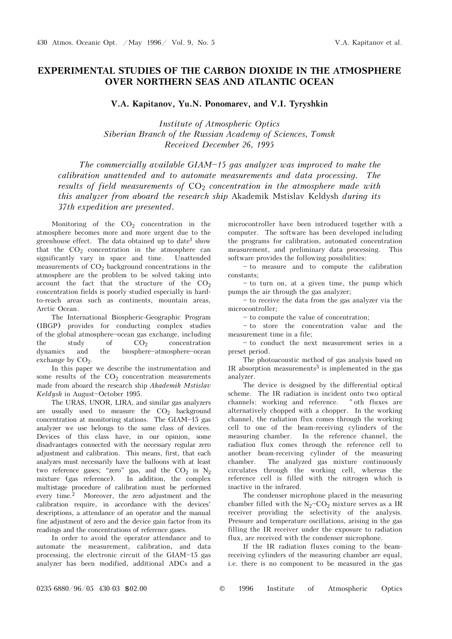## **EXPERIMENTAL STUDIES OF THE CARBON DIOXIDE IN THE ATMOSPHERE OVER NORTHERN SEAS AND ATLANTIC OCEAN**

**V.A. Kapitanov, Yu.N. Ponomarev, and V.I. Tyryshkin** 

*Institute of Atmospheric Optics Siberian Branch of the Russian Academy of Sciences, Tomsk Received December 26, 1995* 

The commercially available GIAM-15 gas analyzer was improved to make the *calibration unattended and to automate measurements and data processing. The results of field measurements of*  $CO<sub>2</sub>$  *concentration in the atmosphere made with this analyzer from aboard the research ship* Akademik Mstislav Keldysh *during its 37th expedition are presented.* 

Monitoring of the  $CO<sub>2</sub>$  concentration in the atmosphere becomes more and more urgent due to the greenhouse effect. The data obtained up to date<sup>1</sup> show that the  $CO<sub>2</sub>$  concentration in the atmosphere can significantly vary in space and time. Unattended measurements of  $CO<sub>2</sub>$  background concentrations in the atmosphere are the problem to be solved taking into account the fact that the structure of the  $CO<sub>2</sub>$ concentration fields is poorly studied especially in hardto-reach areas such as continents, mountain areas, Arctic Ocean.

The International Biospheric-Geographic Program (IBGP) provides for conducting complex studies of the global atmosphere-ocean gas exchange, including the study of  $CO<sub>2</sub>$  concentration<br>dynamics and the biosphere-atmosphere-ocean biosphere-atmosphere-ocean exchange by  $CO<sub>2</sub>$ .

In this paper we describe the instrumentation and some results of the  $CO<sub>2</sub>$  concentration measurements made from aboard the research ship *Akademik Mstislav Keldysh* in August-October 1995.

The URAS, UNOR, LIRA, and similar gas analyzers are usually used to measure the  $CO<sub>2</sub>$  background concentration at monitoring stations. The  $GIAM-15$  gas analyzer we use belongs to the same class of devices. Devices of this class have, in our opinion, some disadvantages connected with the necessary regular zero adjustment and calibration. This means, first, that each analyzes must necessarily have the balloons with at least two reference gases; "zero" gas, and the  $CO_2$  in  $N_2$  mixture (gas reference). In addition, the complex In addition, the complex multistage procedure of calibration must be performed every time.2 Moreover, the zero adjustment and the calibration require, in accordance with the devices' descriptions, a attendance of an operator and the manual fine adjustment of zero and the device gain factor from its readings and the concentrations of reference gases.

In order to avoid the operator attendance and to automate the measurement, calibration, and data processing, the electronic circuit of the GIAM-15 gas analyzer has been modified, additional ADCs and a

microcontroller have been introduced together with a computer. The software has been developed including the programs for calibration, automated concentration measurement, and preliminary data processing. This software provides the following possibilities:

 $-$  to measure and to compute the calibration constants;

 $-$  to turn on, at a given time, the pump which pumps the air through the gas analyzer;

 $-$  to receive the data from the gas analyzer via the microcontroller;

 $-$  to compute the value of concentration;

 $-$  to store the concentration value and the measurement time in a file;

 $-$  to conduct the next measurement series in a preset period.

The photoacoustic method of gas analysis based on IR absorption measurements<sup>3</sup> is implemented in the gas analyzer.

The device is designed by the differential optical scheme. The IR radiation is incident onto two optical channels: working and reference. "oth fluxes are alternatively chopped with a chopper. In the working channel, the radiation flux comes through the working cell to one of the beam-receiving cylinders of the measuring chamber. In the reference channel, the radiation flux comes through the reference cell to another beam-receiving cylinder of the measuring chamber. The analyzed gas mixture continuously circulates through the working cell, whereas the reference cell is filled with the nitrogen which is inactive in the infrared.

The condenser microphone placed in the measuring chamber filled with the  $N_2$ -CO<sub>2</sub> mixture serves as a IR receiver providing the selectivity of the analysis. Pressure and temperature oscillations, arising in the gas filling the IR receiver under the exposure to radiation flux, are received with the condenser microphone.

If the IR radiation fluxes coming to the beamreceiving cylinders of the measuring chamber are equal, i.e. there is no component to be measured in the gas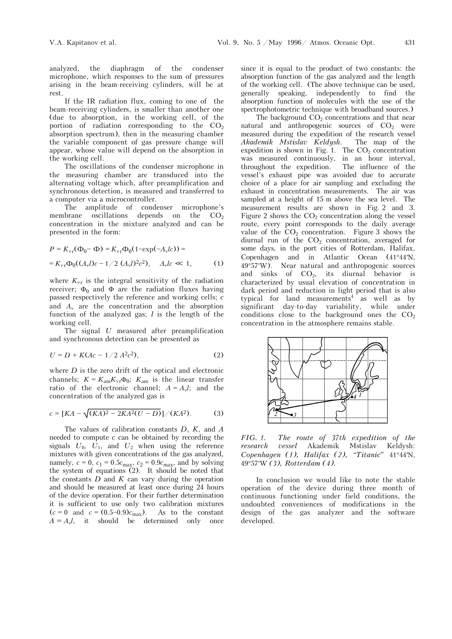analyzed, the diaphragm of the condenser microphone, which responses to the sum of pressures arising in the beam-receiving cylinders, will be at rest.

If the IR radiation flux, coming to one of the beam-receiving cylinders, is smaller than another one (due to absorption, in the working cell, of the portion of radiation corresponding to the  $CO<sub>2</sub>$ absorption spectrum), then in the measuring chamber the variable component of gas pressure change will appear, whose value will depend on the absorption in the working cell.

The oscillations of the condenser microphone in the measuring chamber are transduced into the alternating voltage which, after preamplification and synchronous detection, is measured and transferred to a computer via a microcontroller.

The amplitude of condenser microphone's membrane oscillations depends on the  $CO<sub>2</sub>$ concentration in the mixture analyzed and can be presented in the form:

$$
P = K_{vr}(\Phi_0 - \Phi) = K_{vr}\Phi_0(1 - \exp(-A_v/c)) =
$$
  
=  $K_{vr}\Phi_0((A_v l)c - 1/2 (A_v l)^2 c^2)$ ,  $A_v l c \ll 1$ , (1)

where  $K_{vr}$  is the integral sensitivity of the radiation receiver;  $\Phi_0$  and  $\Phi$  are the radiation fluxes having passed respectively the reference and working cells; *c* and *A*<sup>ν</sup> are the concentration and the absorption function of the analyzed gas; *l* is the length of the working cell.

The signal *U* measured after preamplification and synchronous detection can be presented as

$$
U = D + K(Ac - 1/2 A^2c^2),
$$
 (2)

where *D* is the zero drift of the optical and electronic channels;  $K = K_{am}K_{vr}\Phi_0$ ;  $K_{am}$  is the linear transfer ratio of the electronic channel;  $A = A_v l$ ; and the concentration of the analyzed gas is

$$
c = [KA - \sqrt{(KA)^2 - 2KA^2(U - D)}]/(KA^2). \tag{3}
$$

The values of calibration constants *D*, *K*, and *A* needed to compute *c* can be obtained by recording the signals  $U_0$ ,  $U_1$ , and  $U_2$  when using the reference mixtures with given concentrations of the gas analyzed, namely,  $c = 0$ ,  $c_1 = 0.5c_{\text{max}}$ ,  $c_2 = 0.9c_{\text{max}}$ , and by solving the system of equations (2). It should be noted that the constants  $\overline{D}$  and  $\overline{K}$  can vary during the operation and should be measured at least once during 24 hours of the device operation. For their further determination it is sufficient to use only two calibration mixtures  $(c = 0 \text{ and } c = (0.5 - 0.9)c_{\text{max}})$ . As to the constant  $A = A_v l$ , it should be determined only once

since it is equal to the product of two constants: the absorption function of the gas analyzed and the length of the working cell. (The above technique can be used, generally speaking, independently to find the absorption function of molecules with the use of the spectrophotometric technique with broadband sources.)

The background  $CO<sub>2</sub>$  concentrations and that near natural and anthropogenic sources of  $CO<sub>2</sub>$  were measured during the expedition of the research vessel *Akademik Mstislav Keldysh*. The map of the expedition is shown in Fig. 1. The  $CO<sub>2</sub>$  concentration was measured continuously, in an hour interval, throughout the expedition. The influence of the vessel's exhaust pipe was avoided due to accurate choice of a place for air sampling and excluding the exhaust in concentration measurements. The air was sampled at a height of 15 m above the sea level. The measurement results are shown in Fig. 2 and 3. Figure 2 shows the  $CO<sub>2</sub>$  concentration along the vessel route, every point corresponds to the daily average value of the  $CO<sub>2</sub>$  concentration. Figure 3 shows the diurnal run of the  $CO<sub>2</sub>$  concentration, averaged for some days, in the port cities of Rotterdam, Halifax, Copenhagen and in Atlantic Ocean (41°44′N, 49°57′W). Near natural and anthropogenic sources and sinks of  $CO<sub>2</sub>$ , its diurnal behavior is characterized by usual elevation of concentration in dark period and reduction in light period that is also typical for land measurements<sup>4</sup> as well as by significant day-to-day variability, while under conditions close to the background ones the  $CO<sub>2</sub>$ concentration in the atmosphere remains stable.



*FIG. 1. The route of 37th expedition of the research vessel* Akademik Mstislav Keldysh: *Copenhagen (1), Halifax (2), "Titanic"* 41°44′N, 49°57′W *(3), Rotterdam (4).* 

In conclusion we would like to note the stable operation of the device during three month of continuous functioning under field conditions, the undoubted conveniences of modifications in the design of the gas analyzer and the software developed.